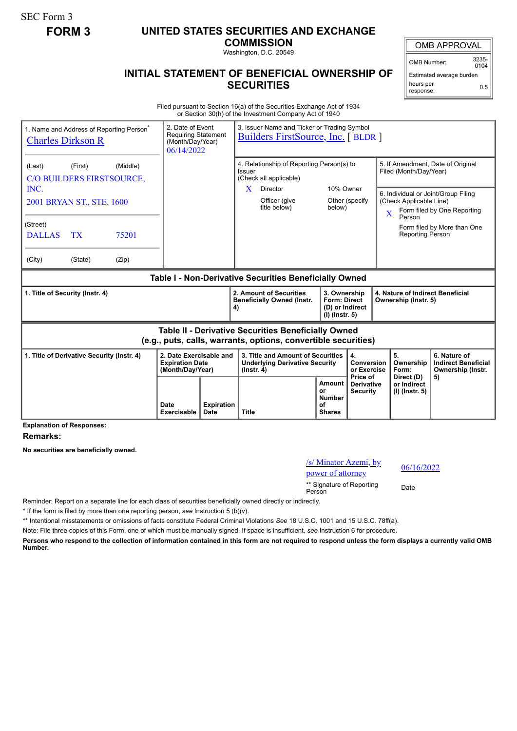SEC Form 3

## **FORM 3 UNITED STATES SECURITIES AND EXCHANGE**

**COMMISSION** Washington, D.C. 20549

## **INITIAL STATEMENT OF BENEFICIAL OWNERSHIP OF SECURITIES**

OMB APPROVAL

OMB Number: 3235-  $0104$ 

Estimated average burden hours per response: 0.5

Filed pursuant to Section 16(a) of the Securities Exchange Act of 1934 or Section 30(h) of the Investment Company Act of 1940

| 1. Name and Address of Reporting Person <sup>®</sup><br><b>Charles Dirkson R</b> |                                                                       | 3. Issuer Name and Ticker or Trading Symbol<br>2. Date of Event<br><b>Requiring Statement</b><br><b>Builders FirstSource, Inc.</b> [BLDR ]<br>(Month/Day/Year)<br>06/14/2022 |                                                                                                                       |  |                                                                            |                                                                                                                                    |                                                          |                                                                       |  |
|----------------------------------------------------------------------------------|-----------------------------------------------------------------------|------------------------------------------------------------------------------------------------------------------------------------------------------------------------------|-----------------------------------------------------------------------------------------------------------------------|--|----------------------------------------------------------------------------|------------------------------------------------------------------------------------------------------------------------------------|----------------------------------------------------------|-----------------------------------------------------------------------|--|
| (Middle)<br>(First)<br>(Last)<br>C/O BUILDERS FIRSTSOURCE,                       |                                                                       |                                                                                                                                                                              | 4. Relationship of Reporting Person(s) to<br>Issuer<br>(Check all applicable)                                         |  |                                                                            | 5. If Amendment, Date of Original<br>Filed (Month/Day/Year)                                                                        |                                                          |                                                                       |  |
| INC.<br>2001 BRYAN ST., STE. 1600                                                |                                                                       |                                                                                                                                                                              | X<br>Director<br>Officer (give<br>title below)                                                                        |  | 10% Owner<br>Other (specify<br>below)                                      | 6. Individual or Joint/Group Filing<br>(Check Applicable Line)<br>Form filed by One Reporting<br>$\overline{\mathbf{X}}$<br>Person |                                                          |                                                                       |  |
| (Street)<br>75201<br><b>DALLAS</b><br><b>TX</b>                                  |                                                                       |                                                                                                                                                                              |                                                                                                                       |  |                                                                            |                                                                                                                                    | <b>Reporting Person</b>                                  | Form filed by More than One                                           |  |
| (City)<br>(State)<br>(Zip)                                                       |                                                                       |                                                                                                                                                                              |                                                                                                                       |  |                                                                            |                                                                                                                                    |                                                          |                                                                       |  |
| Table I - Non-Derivative Securities Beneficially Owned                           |                                                                       |                                                                                                                                                                              |                                                                                                                       |  |                                                                            |                                                                                                                                    |                                                          |                                                                       |  |
| 1. Title of Security (Instr. 4)                                                  |                                                                       |                                                                                                                                                                              | 2. Amount of Securities                                                                                               |  | 3. Ownership<br><b>Form: Direct</b><br>(D) or Indirect<br>$(I)$ (lnstr. 5) |                                                                                                                                    | 4. Nature of Indirect Beneficial<br>Ownership (Instr. 5) |                                                                       |  |
|                                                                                  |                                                                       |                                                                                                                                                                              | <b>Beneficially Owned (Instr.</b><br>4)                                                                               |  |                                                                            |                                                                                                                                    |                                                          |                                                                       |  |
|                                                                                  |                                                                       |                                                                                                                                                                              | Table II - Derivative Securities Beneficially Owned<br>(e.g., puts, calls, warrants, options, convertible securities) |  |                                                                            |                                                                                                                                    |                                                          |                                                                       |  |
| 1. Title of Derivative Security (Instr. 4)                                       | 2. Date Exercisable and<br><b>Expiration Date</b><br>(Month/Day/Year) |                                                                                                                                                                              | 3. Title and Amount of Securities<br><b>Underlying Derivative Security</b><br>$($ lnstr. 4 $)$                        |  | 4.<br>Conversion<br>or Exercise<br>Price of                                |                                                                                                                                    | 5.<br>Ownership<br>Form:<br>Direct (D)                   | 6. Nature of<br><b>Indirect Beneficial</b><br>Ownership (Instr.<br>5) |  |

**Explanation of Responses:**

**Remarks:**

**No securities are beneficially owned.**

/s/ Minator Azemi, by  $\frac{96}{16/2022}$  power of attorney \*\* Signature of Reporting <sub>Date</sub><br>Person

Reminder: Report on a separate line for each class of securities beneficially owned directly or indirectly.

\* If the form is filed by more than one reporting person, *see* Instruction 5 (b)(v).

\*\* Intentional misstatements or omissions of facts constitute Federal Criminal Violations *See* 18 U.S.C. 1001 and 15 U.S.C. 78ff(a).

Note: File three copies of this Form, one of which must be manually signed. If space is insufficient, *see* Instruction 6 for procedure.

**Persons who respond to the collection of information contained in this form are not required to respond unless the form displays a currently valid OMB Number.**